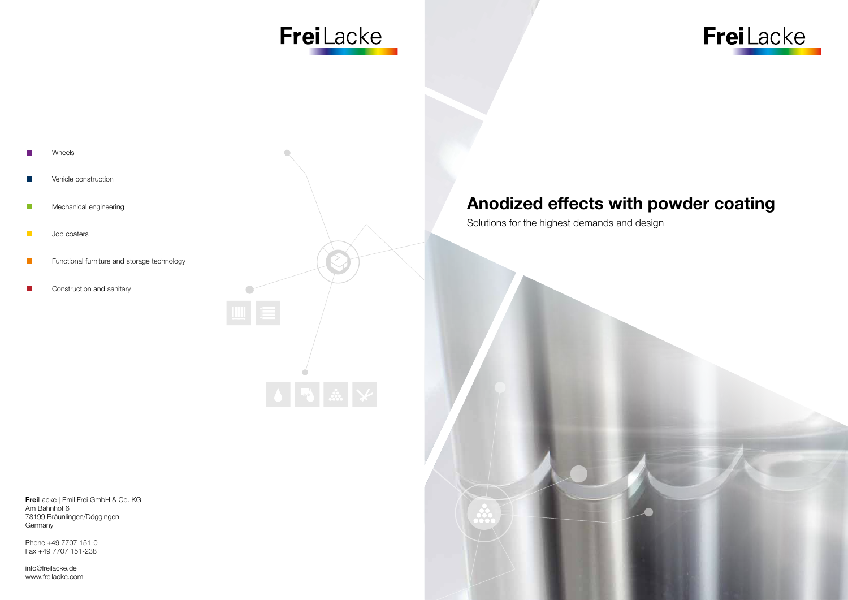## Anodized effects with powder coating

- Vehicle construction
- $\mathcal{L}^{\mathcal{L}}$ Mechanical engineering
- $\mathcal{L}_{\mathcal{A}}$ Job coaters
- Functional furniture and storage technology  $\mathcal{L}_{\text{eff}}$
- Construction and sanitary  $\mathcal{C}^{\mathcal{A}}$

Solutions for the highest demands and design









FreiLacke | Emil Frei GmbH & Co. KG Am Bahnhof 6 78199 Bräunlingen/Döggingen Germany

Phone +49 7707 151-0 Fax +49 7707 151-238

info@freilacke.de www.freilacke.com